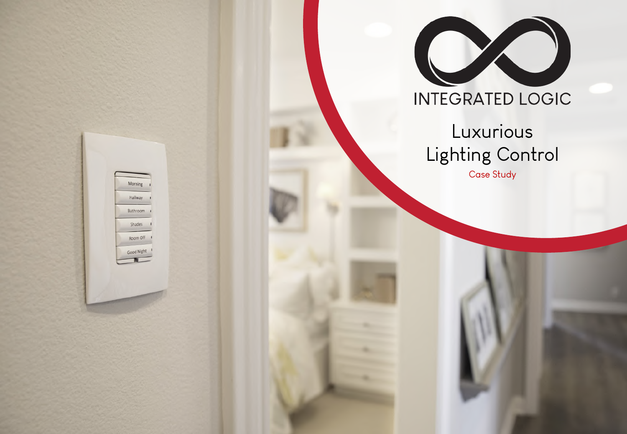

## **INTEGRATED LOGIC**

# Luxurious Lighting Control

Case Study

Morning Hallway Bathroom Shades Room Off Good Night